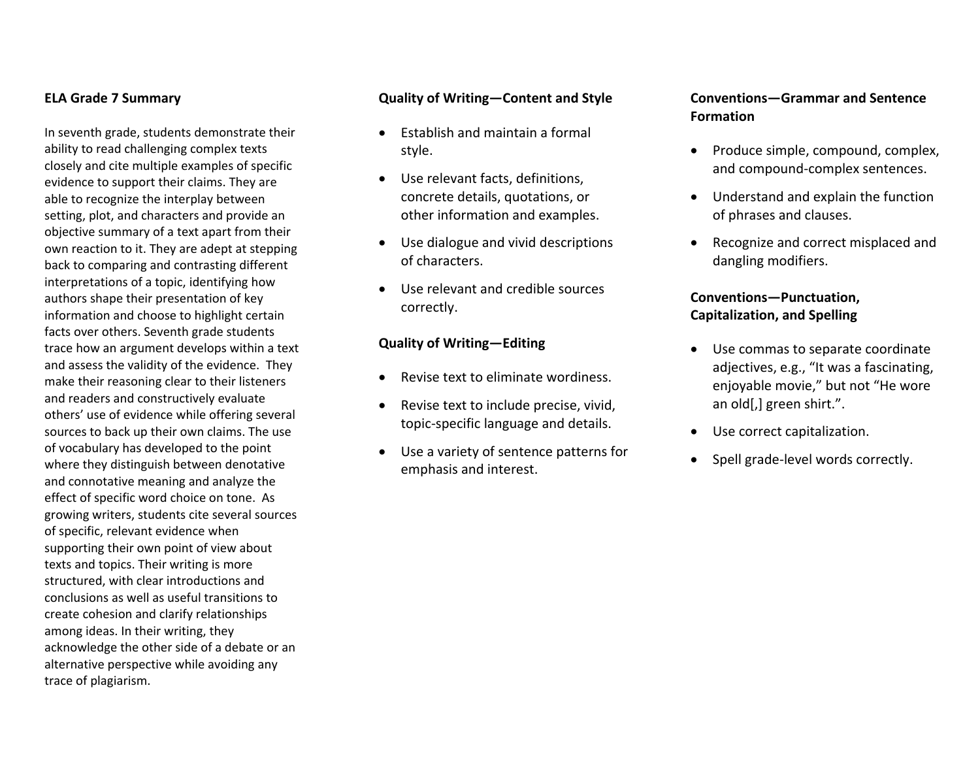#### **ELA Grade 7 Summary**

In seventh grade, students demonstrate their ability to read challenging complex texts closely and cite multiple examples of specific evidence to support their claims. They are able to recognize the interplay between setting, plot, and characters and provide an objective summary of <sup>a</sup> text apart from their own reaction to it. They are adept at stepping back to comparing and contrasting different interpretations of <sup>a</sup> topic, identifying how authors shape their presentation of key information and choose to highlight certain facts over others. Seventh grade students trace how an argument develops within <sup>a</sup> text and assess the validity of the evidence. They make their reasoning clear to their listeners and readers and constructively evaluate others' use of evidence while offering several sources to back up their own claims. The use of vocabulary has developed to the point where they distinguish between denotative and connotative meaning and analyze the effect of specific word choice on tone. As growing writers, students cite several sources of specific, relevant evidence when supporting their own point of view about texts and topics. Their writing is more structured, with clear introductions and conclusions as well as useful transitions tocreate cohesion and clarify relationships among ideas. In their writing, they acknowledge the other side of <sup>a</sup> debate or an alternative perspective while avoiding any trace of plagiarism.

#### **Quality of Writing—Content and Style**

- Establish and maintain <sup>a</sup> formal style.
- $\bullet$  Use relevant facts, definitions, concrete details, quotations, or other information and examples.
- Use dialogue and vivid descriptions of characters.
- Use relevant and credible sources correctly.

#### **Quality of Writing—Editing**

- 0 • Revise text to eliminate wordiness.
- . Revise text to include precise, vivid, topic‐specific language and details.
- . Use <sup>a</sup> variety of sentence patterns for emphasis and interest.

### **Conventions—Grammar and Sentence Formation**

- Produce simple, compound, complex, and compound‐complex sentences.
- Understand and explain the function of phrases and clauses.
- Recognize and correct misplaced and dangling modifiers.

## **Conventions—Punctuation, Capitalization, and Spelling**

- Use commas to separate coordinate adjectives, e.g., "It was <sup>a</sup> fascinating, enjoyable movie," but not "He wore an old[,] green shirt.".
- Use correct capitalization.
- Spell grade-level words correctly.